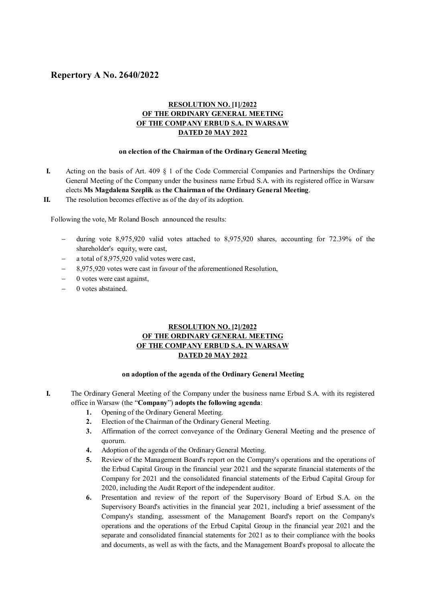# **Repertory A No. 2640/2022**

## **RESOLUTION NO. [1]/2022 OF THE ORDINARY GENERAL MEETING OF THE COMPANY ERBUD S.A. IN WARSAW DATED 20 MAY 2022**

#### **on election of the Chairman of the Ordinary General Meeting**

- **I.** Acting on the basis of Art. 409 § 1 of the Code Commercial Companies and Partnerships the Ordinary General Meeting of the Company under the business name Erbud S.A. with its registered office in Warsaw elects **Ms Magdalena Szeplik** as **the Chairman of the Ordinary General Meeting**.
- **II.** The resolution becomes effective as of the day of its adoption.

Following the vote, Mr Roland Bosch announced the results:

- during vote 8,975,920 valid votes attached to 8,975,920 shares, accounting for 72.39% of the shareholder's equity, were cast,
- a total of 8,975,920 valid votes were cast,
- 8,975,920 votes were cast in favour of the aforementioned Resolution,
- $-$  0 votes were cast against,
- 0 votes abstained.

## **RESOLUTION NO. [2]/2022 OF THE ORDINARY GENERAL MEETING OF THE COMPANY ERBUD S.A. IN WARSAW DATED 20 MAY 2022**

#### **on adoption of the agenda of the Ordinary General Meeting**

- **I.** The Ordinary General Meeting of the Company under the business name Erbud S.A. with its registered office in Warsaw (the "**Company**") **adopts the following agenda**:
	- **1.** Opening of the Ordinary General Meeting.
	- **2.** Election of the Chairman of the Ordinary General Meeting.
	- **3.** Affirmation of the correct conveyance of the Ordinary General Meeting and the presence of quorum.
	- **4.** Adoption of the agenda of the Ordinary General Meeting.
	- **5.** Review of the Management Board's report on the Company's operations and the operations of the Erbud Capital Group in the financial year 2021 and the separate financial statements of the Company for 2021 and the consolidated financial statements of the Erbud Capital Group for 2020, including the Audit Report of the independent auditor.
	- **6.** Presentation and review of the report of the Supervisory Board of Erbud S.A. on the Supervisory Board's activities in the financial year 2021, including a brief assessment of the Company's standing, assessment of the Management Board's report on the Company's operations and the operations of the Erbud Capital Group in the financial year 2021 and the separate and consolidated financial statements for 2021 as to their compliance with the books and documents, as well as with the facts, and the Management Board's proposal to allocate the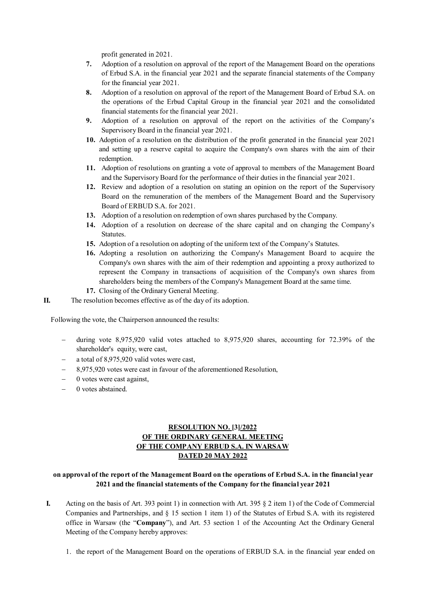profit generated in 2021.

- **7.** Adoption of a resolution on approval of the report of the Management Board on the operations of Erbud S.A. in the financial year 2021 and the separate financial statements of the Company for the financial year 2021.
- **8.** Adoption of a resolution on approval of the report of the Management Board of Erbud S.A. on the operations of the Erbud Capital Group in the financial year 2021 and the consolidated financial statements for the financial year 2021.
- **9.** Adoption of a resolution on approval of the report on the activities of the Company's Supervisory Board in the financial year 2021.
- **10.** Adoption of a resolution on the distribution of the profit generated in the financial year 2021 and setting up a reserve capital to acquire the Company's own shares with the aim of their redemption.
- **11.** Adoption of resolutions on granting a vote of approval to members of the Management Board and the Supervisory Board for the performance of their duties in the financial year 2021.
- **12.** Review and adoption of a resolution on stating an opinion on the report of the Supervisory Board on the remuneration of the members of the Management Board and the Supervisory Board of ERBUD S.A. for 2021.
- **13.** Adoption of a resolution on redemption of own shares purchased by the Company.
- **14.** Adoption of a resolution on decrease of the share capital and on changing the Company's Statutes.
- **15.** Adoption of a resolution on adopting of the uniform text of the Company's Statutes.
- **16.** Adopting a resolution on authorizing the Company's Management Board to acquire the Company's own shares with the aim of their redemption and appointing a proxy authorized to represent the Company in transactions of acquisition of the Company's own shares from shareholders being the members of the Company's Management Board at the same time.
- **17.** Closing of the Ordinary General Meeting.

**II.** The resolution becomes effective as of the day of its adoption.

Following the vote, the Chairperson announced the results:

- during vote 8,975,920 valid votes attached to 8,975,920 shares, accounting for 72.39% of the shareholder's equity, were cast,
- a total of 8,975,920 valid votes were cast,
- 8,975,920 votes were cast in favour of the aforementioned Resolution,
- 0 votes were cast against,
- 0 votes abstained.

## **RESOLUTION NO. [3]/2022 OF THE ORDINARY GENERAL MEETING OF THE COMPANY ERBUD S.A. IN WARSAW DATED 20 MAY 2022**

### **on approval of the report of the Management Board on the operations of Erbud S.A. in the financial year 2021 and the financial statements of the Company for the financial year 2021**

- **I.** Acting on the basis of Art. 393 point 1) in connection with Art. 395 § 2 item 1) of the Code of Commercial Companies and Partnerships, and § 15 section 1 item 1) of the Statutes of Erbud S.A. with its registered office in Warsaw (the "**Company**"), and Art. 53 section 1 of the Accounting Act the Ordinary General Meeting of the Company hereby approves:
	- 1. the report of the Management Board on the operations of ERBUD S.A. in the financial year ended on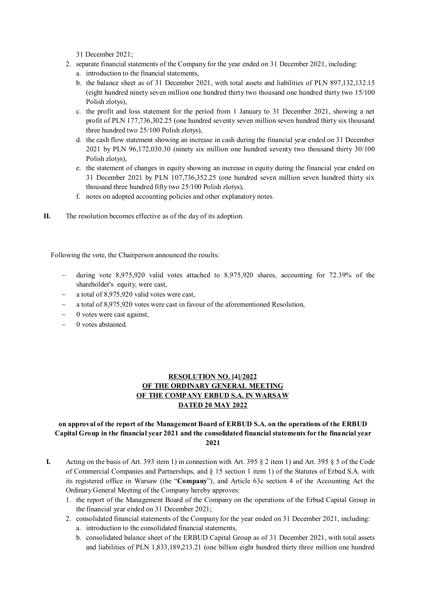31 December 2021;

- 2. separate financial statements of the Company for the year ended on 31 December 2021, including: a. introduction to the financial statements,
	- b. the balance sheet as of 31 December 2021, with total assets and liabilities of PLN 897,132,132.15 (eight hundred ninety seven million one hundred thirty two thousand one hundred thirty two 15/100 Polish zlotys),
	- c. the profit and loss statement for the period from 1 January to 31 December 2021, showing a net profit of PLN 177,736,302.25 (one hundred seventy seven million seven hundred thirty six thousand three hundred two 25/100 Polish zlotys),
	- d. the cash flow statement showing an increase in cash during the financial year ended on 31 December 2021 by PLN 96,172,030.30 (ninety six million one hundred seventy two thousand thirty 30/100 Polish zlotys),
	- e. the statement of changes in equity showing an increase in equity during the financial year ended on 31 December 2021 by PLN 107,736,352.25 (one hundred seven million seven hundred thirty six thousand three hundred fifty two 25/100 Polish zlotys),
	- f. notes on adopted accounting policies and other explanatory notes.
- **II.** The resolution becomes effective as of the day of its adoption.

Following the vote, the Chairperson announced the results:

- during vote 8,975,920 valid votes attached to 8,975,920 shares, accounting for 72.39% of the shareholder's equity, were cast,
- a total of 8,975,920 valid votes were cast,
- a total of 8,975,920 votes were cast in favour of the aforementioned Resolution,
- $-$  0 votes were cast against,
- 0 votes abstained.

## **RESOLUTION NO. [4]/2022 OF THE ORDINARY GENERAL MEETING OF THE COMPANY ERBUD S.A. IN WARSAW DATED 20 MAY 2022**

### **on approval of the report of the Management Board of ERBUD S.A. on the operations of the ERBUD Capital Group in the financial year 2021 and the consolidated financial statements for the financial year 2021**

- **I.** Acting on the basis of Art. 393 item 1) in connection with Art. 395  $\S$  2 item 1) and Art. 395  $\S$  5 of the Code of Commercial Companies and Partnerships, and § 15 section 1 item 1) of the Statutes of Erbud S.A. with its registered office in Warsaw (the "**Company**"), and Article 63c section 4 of the Accounting Act the Ordinary General Meeting of the Company hereby approves:
	- 1. the report of the Management Board of the Company on the operations of the Erbud Capital Group in the financial year ended on 31 December 2021;
	- 2. consolidated financial statements of the Company for the year ended on 31 December 2021, including:
		- a. introduction to the consolidated financial statements,
		- b. consolidated balance sheet of the ERBUD Capital Group as of 31 December 2021, with total assets and liabilities of PLN 1,833,189,213.21 (one billion eight hundred thirty three million one hundred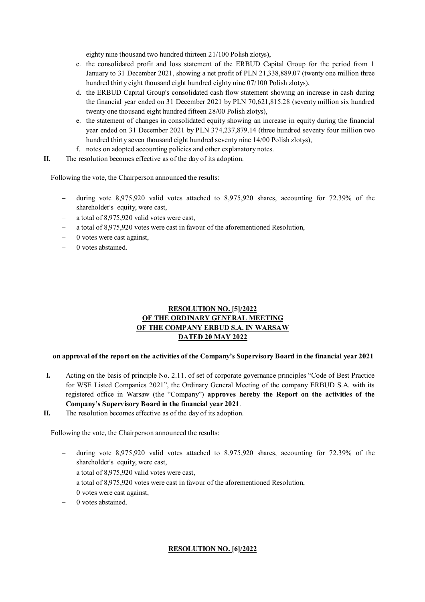eighty nine thousand two hundred thirteen 21/100 Polish zlotys),

- c. the consolidated profit and loss statement of the ERBUD Capital Group for the period from 1 January to 31 December 2021, showing a net profit of PLN 21,338,889.07 (twenty one million three hundred thirty eight thousand eight hundred eighty nine 07/100 Polish zlotys),
- d. the ERBUD Capital Group's consolidated cash flow statement showing an increase in cash during the financial year ended on 31 December 2021 by PLN 70,621,815.28 (seventy million six hundred twenty one thousand eight hundred fifteen 28/00 Polish zlotys),
- e. the statement of changes in consolidated equity showing an increase in equity during the financial year ended on 31 December 2021 by PLN 374,237,879.14 (three hundred seventy four million two hundred thirty seven thousand eight hundred seventy nine 14/00 Polish zlotys),
- f. notes on adopted accounting policies and other explanatory notes.
- **II.** The resolution becomes effective as of the day of its adoption.

Following the vote, the Chairperson announced the results:

- during vote 8,975,920 valid votes attached to 8,975,920 shares, accounting for 72.39% of the shareholder's equity, were cast,
- a total of 8,975,920 valid votes were cast,
- a total of 8,975,920 votes were cast in favour of the aforementioned Resolution,
- 0 votes were cast against,
- 0 votes abstained.

## **RESOLUTION NO. [5]/2022 OF THE ORDINARY GENERAL MEETING OF THE COMPANY ERBUD S.A. IN WARSAW DATED 20 MAY 2022**

### **on approval of the report on the activities of the Company's Supervisory Board in the financial year 2021**

- **I.** Acting on the basis of principle No. 2.11. of set of corporate governance principles "Code of Best Practice for WSE Listed Companies 2021", the Ordinary General Meeting of the company ERBUD S.A. with its registered office in Warsaw (the "Company") **approves hereby the Report on the activities of the Company's Supervisory Board in the financial year 2021**.
- **II.** The resolution becomes effective as of the day of its adoption.

Following the vote, the Chairperson announced the results:

- during vote 8,975,920 valid votes attached to 8,975,920 shares, accounting for 72.39% of the shareholder's equity, were cast,
- a total of 8,975,920 valid votes were cast,
- a total of 8,975,920 votes were cast in favour of the aforementioned Resolution,
- 0 votes were cast against,
- 0 votes abstained.

#### **RESOLUTION NO. [6]/2022**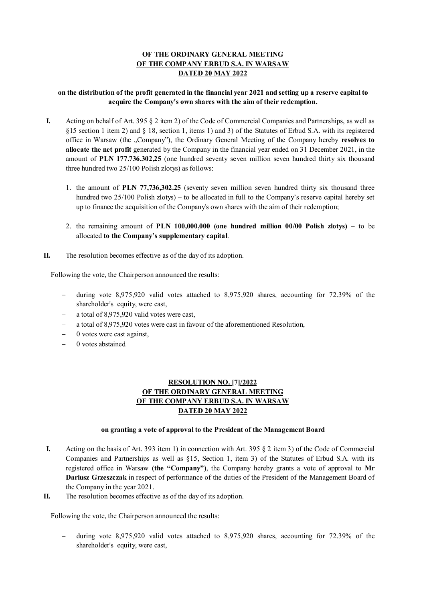## **OF THE ORDINARY GENERAL MEETING OF THE COMPANY ERBUD S.A. IN WARSAW DATED 20 MAY 2022**

### **on the distribution of the profit generated in the financial year 2021 and setting up a reserve capital to acquire the Company's own shares with the aim of their redemption.**

- **I.** Acting on behalf of Art. 395 § 2 item 2) of the Code of Commercial Companies and Partnerships, as well as §15 section 1 item 2) and § 18, section 1, items 1) and 3) of the Statutes of Erbud S.A. with its registered office in Warsaw (the "Company"), the Ordinary General Meeting of the Company hereby resolves to **allocate the net profit** generated by the Company in the financial year ended on 31 December 2021, in the amount of **PLN 177.736.302,25** (one hundred seventy seven million seven hundred thirty six thousand three hundred two 25/100 Polish zlotys) as follows:
	- 1. the amount of **PLN 77,736,302.25** (seventy seven million seven hundred thirty six thousand three hundred two 25/100 Polish zlotys) – to be allocated in full to the Company's reserve capital hereby set up to finance the acquisition of the Company's own shares with the aim of their redemption;
	- 2. the remaining amount of **PLN 100,000,000 (one hundred million 00/00 Polish zlotys)** to be allocated **to the Company's supplementary capital**.
- **II.** The resolution becomes effective as of the day of its adoption.

Following the vote, the Chairperson announced the results:

- during vote 8,975,920 valid votes attached to 8,975,920 shares, accounting for 72.39% of the shareholder's equity, were cast,
- a total of 8,975,920 valid votes were cast,
- a total of 8,975,920 votes were cast in favour of the aforementioned Resolution,
- $-$  0 votes were cast against,
- 0 votes abstained*.*

## **RESOLUTION NO. [7]/2022 OF THE ORDINARY GENERAL MEETING OF THE COMPANY ERBUD S.A. IN WARSAW DATED 20 MAY 2022**

#### **on granting a vote of approval to the President of the Management Board**

- **I.** Acting on the basis of Art. 393 item 1) in connection with Art. 395 § 2 item 3) of the Code of Commercial Companies and Partnerships as well as §15, Section 1, item 3) of the Statutes of Erbud S.A. with its registered office in Warsaw **(the "Company")**, the Company hereby grants a vote of approval to **Mr Dariusz Grzeszczak** in respect of performance of the duties of the President of the Management Board of the Company in the year 2021.
- **II.** The resolution becomes effective as of the day of its adoption.

Following the vote, the Chairperson announced the results:

 during vote 8,975,920 valid votes attached to 8,975,920 shares, accounting for 72.39% of the shareholder's equity, were cast,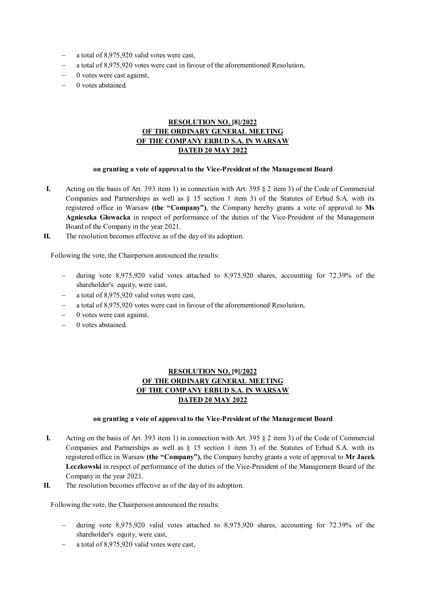- a total of 8,975,920 valid votes were cast,
- a total of 8,975,920 votes were cast in favour of the aforementioned Resolution,
- $-$  0 votes were cast against,
- 0 votes abstained*.*

## **RESOLUTION NO. [8]/2022 OF THE ORDINARY GENERAL MEETING OF THE COMPANY ERBUD S.A. IN WARSAW DATED 20 MAY 2022**

#### **on granting a vote of approval to the Vice-President of the Management Board**

- **I.** Acting on the basis of Art. 393 item 1) in connection with Art. 395 § 2 item 3) of the Code of Commercial Companies and Partnerships as well as  $\S$  15 section 1 item 3) of the Statutes of Erbud S.A. with its registered office in Warsaw **(the "Company")**, the Company hereby grants a vote of approval to **Ms Agnieszka Głowacka** in respect of performance of the duties of the Vice-President of the Management Board of the Company in the year 2021.
- **II.** The resolution becomes effective as of the day of its adoption.

Following the vote, the Chairperson announced the results:

- during vote 8,975,920 valid votes attached to 8,975,920 shares, accounting for 72.39% of the shareholder's equity, were cast,
- a total of 8,975,920 valid votes were cast,
- a total of 8,975,920 votes were cast in favour of the aforementioned Resolution,
- 0 votes were cast against,
- 0 votes abstained*.*

## **RESOLUTION NO. [9]/2022 OF THE ORDINARY GENERAL MEETING OF THE COMPANY ERBUD S.A. IN WARSAW DATED 20 MAY 2022**

### **on granting a vote of approval to the Vice-President of the Management Board**

- **I.** Acting on the basis of Art. 393 item 1) in connection with Art. 395 § 2 item 3) of the Code of Commercial Companies and Partnerships as well as  $\S$  15 section 1 item 3) of the Statutes of Erbud S.A. with its registered office in Warsaw **(the "Company")**, the Company hereby grants a vote of approval to **Mr Jacek Leczkowski** in respect of performance of the duties of the Vice-President of the Management Board of the Company in the year 2021.
- **II.** The resolution becomes effective as of the day of its adoption.

- during vote 8,975,920 valid votes attached to 8,975,920 shares, accounting for 72.39% of the shareholder's equity, were cast,
- a total of 8,975,920 valid votes were cast,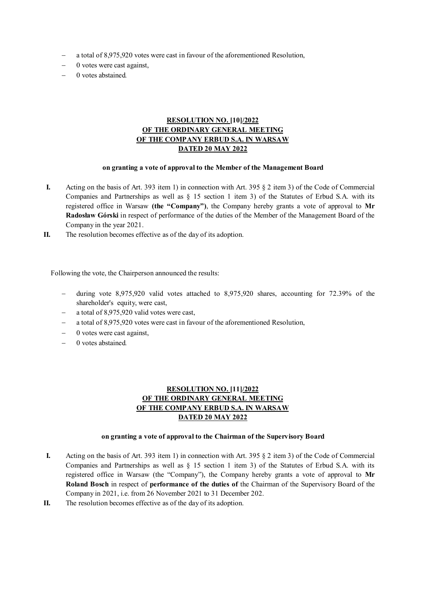- a total of 8,975,920 votes were cast in favour of the aforementioned Resolution,
- $-$  0 votes were cast against,
- 0 votes abstained*.*

## **RESOLUTION NO. [10]/2022 OF THE ORDINARY GENERAL MEETING OF THE COMPANY ERBUD S.A. IN WARSAW DATED 20 MAY 2022**

#### **on granting a vote of approval to the Member of the Management Board**

- **I.** Acting on the basis of Art. 393 item 1) in connection with Art. 395 § 2 item 3) of the Code of Commercial Companies and Partnerships as well as  $\S$  15 section 1 item 3) of the Statutes of Erbud S.A. with its registered office in Warsaw **(the "Company")**, the Company hereby grants a vote of approval to **Mr Radosław Górski** in respect of performance of the duties of the Member of the Management Board of the Company in the year 2021.
- **II.** The resolution becomes effective as of the day of its adoption.

Following the vote, the Chairperson announced the results:

- $-$  during vote 8,975,920 valid votes attached to 8,975,920 shares, accounting for 72.39% of the shareholder's equity, were cast,
- a total of 8,975,920 valid votes were cast,
- a total of 8,975,920 votes were cast in favour of the aforementioned Resolution,
- 0 votes were cast against,
- 0 votes abstained*.*

# **RESOLUTION NO. [11]/2022 OF THE ORDINARY GENERAL MEETING OF THE COMPANY ERBUD S.A. IN WARSAW DATED 20 MAY 2022**

#### **on granting a vote of approval to the Chairman of the Supervisory Board**

- **I.** Acting on the basis of Art. 393 item 1) in connection with Art. 395 § 2 item 3) of the Code of Commercial Companies and Partnerships as well as  $\S$  15 section 1 item 3) of the Statutes of Erbud S.A. with its registered office in Warsaw (the "Company"), the Company hereby grants a vote of approval to **Mr Roland Bosch** in respect of **performance of the duties of** the Chairman of the Supervisory Board of the Company in 2021, i.e. from 26 November 2021 to 31 December 202.
- **II.** The resolution becomes effective as of the day of its adoption.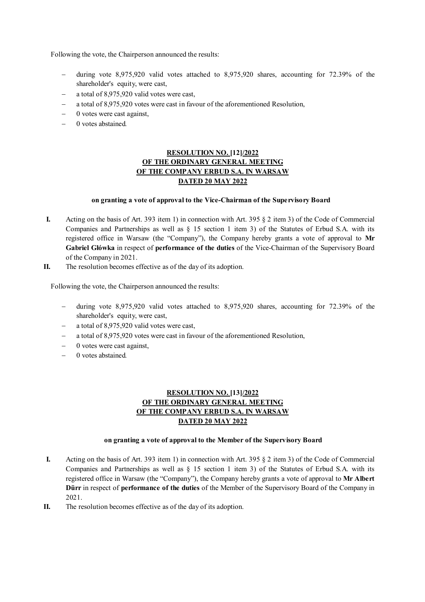Following the vote, the Chairperson announced the results:

- during vote 8,975,920 valid votes attached to 8,975,920 shares, accounting for 72.39% of the shareholder's equity, were cast,
- a total of 8,975,920 valid votes were cast,
- a total of 8,975,920 votes were cast in favour of the aforementioned Resolution,
- $-$  0 votes were cast against,
- 0 votes abstained*.*

# **RESOLUTION NO. [12]/2022 OF THE ORDINARY GENERAL MEETING OF THE COMPANY ERBUD S.A. IN WARSAW DATED 20 MAY 2022**

### **on granting a vote of approval to the Vice-Chairman of the Supervisory Board**

- **I.** Acting on the basis of Art. 393 item 1) in connection with Art. 395 § 2 item 3) of the Code of Commercial Companies and Partnerships as well as  $\S$  15 section 1 item 3) of the Statutes of Erbud S.A. with its registered office in Warsaw (the "Company"), the Company hereby grants a vote of approval to **Mr Gabriel Główka** in respect of **performance of the duties** of the Vice-Chairman of the Supervisory Board of the Company in 2021.
- **II.** The resolution becomes effective as of the day of its adoption.

Following the vote, the Chairperson announced the results:

- during vote 8,975,920 valid votes attached to 8,975,920 shares, accounting for 72.39% of the shareholder's equity, were cast,
- a total of 8,975,920 valid votes were cast,
- a total of 8,975,920 votes were cast in favour of the aforementioned Resolution,
- 0 votes were cast against,
- 0 votes abstained*.*

# **RESOLUTION NO. [13]/2022 OF THE ORDINARY GENERAL MEETING OF THE COMPANY ERBUD S.A. IN WARSAW DATED 20 MAY 2022**

#### **on granting a vote of approval to the Member of the Supervisory Board**

- **I.** Acting on the basis of Art. 393 item 1) in connection with Art. 395 § 2 item 3) of the Code of Commercial Companies and Partnerships as well as  $\S$  15 section 1 item 3) of the Statutes of Erbud S.A. with its registered office in Warsaw (the "Company"), the Company hereby grants a vote of approval to **Mr Albert Dürr** in respect of **performance of the duties** of the Member of the Supervisory Board of the Company in 2021.
- **II.** The resolution becomes effective as of the day of its adoption.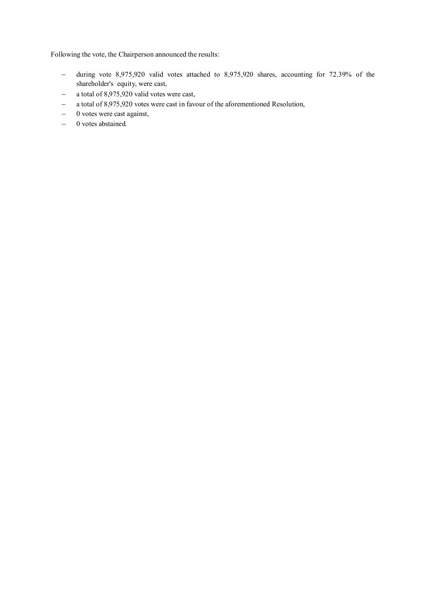- $-$  during vote 8,975,920 valid votes attached to 8,975,920 shares, accounting for 72.39% of the shareholder's equity, were cast,
- a total of 8,975,920 valid votes were cast,
- a total of 8,975,920 votes were cast in favour of the aforementioned Resolution,
- $-$  0 votes were cast against,
- 0 votes abstained*.*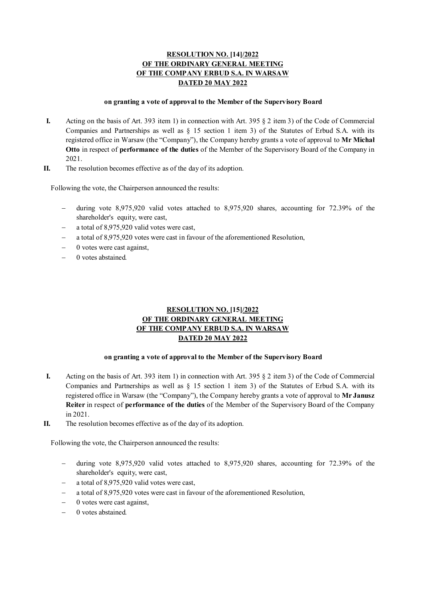# **RESOLUTION NO. [14]/2022 OF THE ORDINARY GENERAL MEETING OF THE COMPANY ERBUD S.A. IN WARSAW DATED 20 MAY 2022**

#### **on granting a vote of approval to the Member of the Supervisory Board**

- **I.** Acting on the basis of Art. 393 item 1) in connection with Art. 395 § 2 item 3) of the Code of Commercial Companies and Partnerships as well as § 15 section 1 item 3) of the Statutes of Erbud S.A. with its registered office in Warsaw (the "Company"), the Company hereby grants a vote of approval to **Mr Michał Otto** in respect of **performance of the duties** of the Member of the Supervisory Board of the Company in 2021.
- **II.** The resolution becomes effective as of the day of its adoption.

Following the vote, the Chairperson announced the results:

- during vote 8,975,920 valid votes attached to 8,975,920 shares, accounting for 72.39% of the shareholder's equity, were cast,
- a total of 8,975,920 valid votes were cast,
- a total of 8,975,920 votes were cast in favour of the aforementioned Resolution,
- 0 votes were cast against,
- 0 votes abstained*.*

# **RESOLUTION NO. [15]/2022 OF THE ORDINARY GENERAL MEETING OF THE COMPANY ERBUD S.A. IN WARSAW DATED 20 MAY 2022**

#### **on granting a vote of approval to the Member of the Supervisory Board**

- **I.** Acting on the basis of Art. 393 item 1) in connection with Art. 395 § 2 item 3) of the Code of Commercial Companies and Partnerships as well as § 15 section 1 item 3) of the Statutes of Erbud S.A. with its registered office in Warsaw (the "Company"), the Company hereby grants a vote of approval to **Mr Janusz Reiter** in respect of **performance of the duties** of the Member of the Supervisory Board of the Company in 2021.
- **II.** The resolution becomes effective as of the day of its adoption.

- during vote 8,975,920 valid votes attached to 8,975,920 shares, accounting for 72.39% of the shareholder's equity, were cast,
- a total of 8,975,920 valid votes were cast,
- a total of 8,975,920 votes were cast in favour of the aforementioned Resolution,
- 0 votes were cast against,
- 0 votes abstained*.*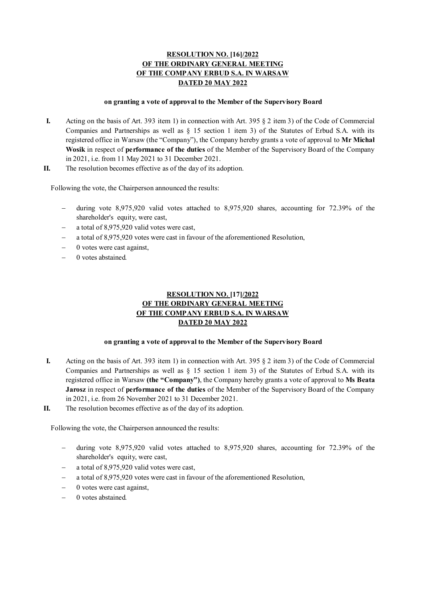# **RESOLUTION NO. [16]/2022 OF THE ORDINARY GENERAL MEETING OF THE COMPANY ERBUD S.A. IN WARSAW DATED 20 MAY 2022**

#### **on granting a vote of approval to the Member of the Supervisory Board**

- **I.** Acting on the basis of Art. 393 item 1) in connection with Art. 395 § 2 item 3) of the Code of Commercial Companies and Partnerships as well as § 15 section 1 item 3) of the Statutes of Erbud S.A. with its registered office in Warsaw (the "Company"), the Company hereby grants a vote of approval to **Mr Michał Wosik** in respect of **performance of the duties** of the Member of the Supervisory Board of the Company in 2021, i.e. from 11 May 2021 to 31 December 2021.
- **II.** The resolution becomes effective as of the day of its adoption.

Following the vote, the Chairperson announced the results:

- during vote 8,975,920 valid votes attached to 8,975,920 shares, accounting for 72.39% of the shareholder's equity, were cast,
- a total of 8,975,920 valid votes were cast,
- a total of 8,975,920 votes were cast in favour of the aforementioned Resolution,
- 0 votes were cast against,
- 0 votes abstained*.*

# **RESOLUTION NO. [17]/2022 OF THE ORDINARY GENERAL MEETING OF THE COMPANY ERBUD S.A. IN WARSAW DATED 20 MAY 2022**

#### **on granting a vote of approval to the Member of the Supervisory Board**

- **I.** Acting on the basis of Art. 393 item 1) in connection with Art. 395 § 2 item 3) of the Code of Commercial Companies and Partnerships as well as § 15 section 1 item 3) of the Statutes of Erbud S.A. with its registered office in Warsaw **(the "Company")**, the Company hereby grants a vote of approval to **Ms Beata Jarosz** in respect of **performance of the duties** of the Member of the Supervisory Board of the Company in 2021, i.e. from 26 November 2021 to 31 December 2021.
- **II.** The resolution becomes effective as of the day of its adoption.

- during vote 8,975,920 valid votes attached to 8,975,920 shares, accounting for 72.39% of the shareholder's equity, were cast,
- a total of 8,975,920 valid votes were cast,
- a total of 8,975,920 votes were cast in favour of the aforementioned Resolution,
- 0 votes were cast against,
- 0 votes abstained*.*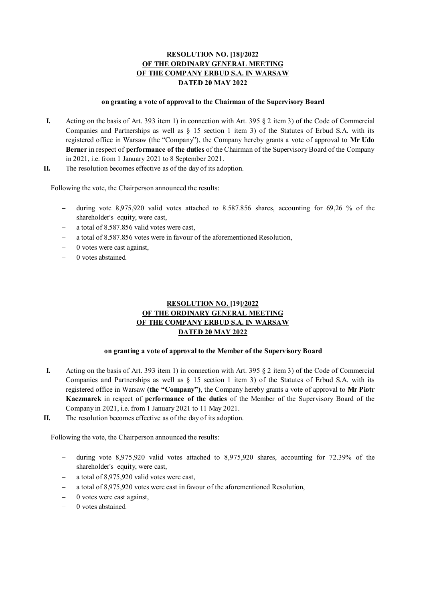# **RESOLUTION NO. [18]/2022 OF THE ORDINARY GENERAL MEETING OF THE COMPANY ERBUD S.A. IN WARSAW DATED 20 MAY 2022**

#### **on granting a vote of approval to the Chairman of the Supervisory Board**

- **I.** Acting on the basis of Art. 393 item 1) in connection with Art. 395 § 2 item 3) of the Code of Commercial Companies and Partnerships as well as § 15 section 1 item 3) of the Statutes of Erbud S.A. with its registered office in Warsaw (the "Company"), the Company hereby grants a vote of approval to **Mr Udo Berner** in respect of **performance of the duties** of the Chairman of the Supervisory Board of the Company in 2021, i.e. from 1 January 2021 to 8 September 2021.
- **II.** The resolution becomes effective as of the day of its adoption.

Following the vote, the Chairperson announced the results:

- during vote 8,975,920 valid votes attached to 8.587.856 shares, accounting for 69,26 % of the shareholder's equity, were cast,
- a total of 8.587.856 valid votes were cast,
- a total of 8.587.856 votes were in favour of the aforementioned Resolution,
- 0 votes were cast against,
- 0 votes abstained*.*

# **RESOLUTION NO. [19]/2022 OF THE ORDINARY GENERAL MEETING OF THE COMPANY ERBUD S.A. IN WARSAW DATED 20 MAY 2022**

#### **on granting a vote of approval to the Member of the Supervisory Board**

- **I.** Acting on the basis of Art. 393 item 1) in connection with Art. 395 § 2 item 3) of the Code of Commercial Companies and Partnerships as well as  $\S$  15 section 1 item 3) of the Statutes of Erbud S.A. with its registered office in Warsaw **(the "Company")**, the Company hereby grants a vote of approval to **Mr Piotr Kaczmarek** in respect of **performance of the duties** of the Member of the Supervisory Board of the Company in 2021, i.e. from 1 January 2021 to 11 May 2021.
- **II.** The resolution becomes effective as of the day of its adoption.

- during vote 8,975,920 valid votes attached to 8,975,920 shares, accounting for 72.39% of the shareholder's equity, were cast,
- a total of 8,975,920 valid votes were cast,
- a total of 8,975,920 votes were cast in favour of the aforementioned Resolution,
- 0 votes were cast against,
- 0 votes abstained*.*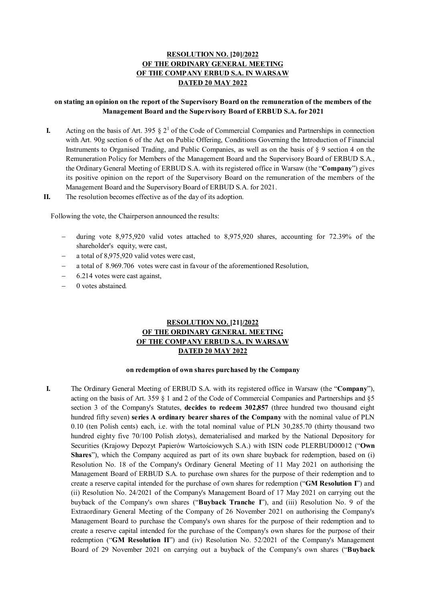# **RESOLUTION NO. [20]/2022 OF THE ORDINARY GENERAL MEETING OF THE COMPANY ERBUD S.A. IN WARSAW DATED 20 MAY 2022**

## **on stating an opinion on the report of the Supervisory Board on the remuneration of the members of the Management Board and the Supervisory Board of ERBUD S.A. for 2021**

- **I.** Acting on the basis of Art. 395  $\S 2^1$  of the Code of Commercial Companies and Partnerships in connection with Art. 90g section 6 of the Act on Public Offering, Conditions Governing the Introduction of Financial Instruments to Organised Trading, and Public Companies, as well as on the basis of § 9 section 4 on the Remuneration Policy for Members of the Management Board and the Supervisory Board of ERBUD S.A., the Ordinary General Meeting of ERBUD S.A. with its registered office in Warsaw (the "**Company**") gives its positive opinion on the report of the Supervisory Board on the remuneration of the members of the Management Board and the Supervisory Board of ERBUD S.A. for 2021.
- **II.** The resolution becomes effective as of the day of its adoption.

Following the vote, the Chairperson announced the results:

- during vote 8,975,920 valid votes attached to 8,975,920 shares, accounting for 72.39% of the shareholder's equity, were cast,
- a total of 8,975,920 valid votes were cast,
- a total of 8.969.706 votes were cast in favour of the aforementioned Resolution,
- 6.214 votes were cast against,
- 0 votes abstained*.*

## **RESOLUTION NO. [21]/2022 OF THE ORDINARY GENERAL MEETING OF THE COMPANY ERBUD S.A. IN WARSAW DATED 20 MAY 2022**

#### **on redemption of own shares purchased by the Company**

**I.** The Ordinary General Meeting of ERBUD S.A. with its registered office in Warsaw (the "**Company**"), acting on the basis of Art. 359 § 1 and 2 of the Code of Commercial Companies and Partnerships and §5 section 3 of the Company's Statutes, **decides to redeem 302,857** (three hundred two thousand eight hundred fifty seven) **series A ordinary bearer shares of the Company** with the nominal value of PLN 0.10 (ten Polish cents) each, i.e. with the total nominal value of PLN 30,285.70 (thirty thousand two hundred eighty five 70/100 Polish zlotys), dematerialised and marked by the National Depository for Securities (Krajowy Depozyt Papierów Wartościowych S.A.) with ISIN code PLERBUD00012 ("**Own Shares**"), which the Company acquired as part of its own share buyback for redemption, based on (i) Resolution No. 18 of the Company's Ordinary General Meeting of 11 May 2021 on authorising the Management Board of ERBUD S.A. to purchase own shares for the purpose of their redemption and to create a reserve capital intended for the purchase of own shares for redemption ("**GM Resolution I**") and (ii) Resolution No. 24/2021 of the Company's Management Board of 17 May 2021 on carrying out the buyback of the Company's own shares ("**Buyback Tranche I**"), and (iii) Resolution No. 9 of the Extraordinary General Meeting of the Company of 26 November 2021 on authorising the Company's Management Board to purchase the Company's own shares for the purpose of their redemption and to create a reserve capital intended for the purchase of the Company's own shares for the purpose of their redemption ("**GM Resolution II**") and (iv) Resolution No. 52/2021 of the Company's Management Board of 29 November 2021 on carrying out a buyback of the Company's own shares ("**Buyback**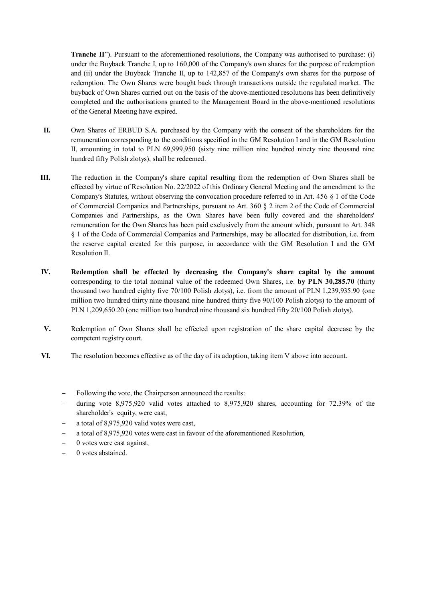**Tranche II**"). Pursuant to the aforementioned resolutions, the Company was authorised to purchase: (i) under the Buyback Tranche I, up to 160,000 of the Company's own shares for the purpose of redemption and (ii) under the Buyback Tranche II, up to 142,857 of the Company's own shares for the purpose of redemption. The Own Shares were bought back through transactions outside the regulated market. The buyback of Own Shares carried out on the basis of the above-mentioned resolutions has been definitively completed and the authorisations granted to the Management Board in the above-mentioned resolutions of the General Meeting have expired.

- **II.** Own Shares of ERBUD S.A. purchased by the Company with the consent of the shareholders for the remuneration corresponding to the conditions specified in the GM Resolution I and in the GM Resolution II, amounting in total to PLN 69,999,950 (sixty nine million nine hundred ninety nine thousand nine hundred fifty Polish zlotys), shall be redeemed.
- **III.** The reduction in the Company's share capital resulting from the redemption of Own Shares shall be effected by virtue of Resolution No. 22/2022 of this Ordinary General Meeting and the amendment to the Company's Statutes, without observing the convocation procedure referred to in Art. 456 § 1 of the Code of Commercial Companies and Partnerships, pursuant to Art. 360 § 2 item 2 of the Code of Commercial Companies and Partnerships, as the Own Shares have been fully covered and the shareholders' remuneration for the Own Shares has been paid exclusively from the amount which, pursuant to Art. 348 § 1 of the Code of Commercial Companies and Partnerships, may be allocated for distribution, i.e. from the reserve capital created for this purpose, in accordance with the GM Resolution I and the GM Resolution II.
- **IV. Redemption shall be effected by decreasing the Company's share capital by the amount** corresponding to the total nominal value of the redeemed Own Shares, i.e. **by PLN 30,285.70** (thirty thousand two hundred eighty five 70/100 Polish zlotys), i.e. from the amount of PLN 1,239,935.90 (one million two hundred thirty nine thousand nine hundred thirty five 90/100 Polish zlotys) to the amount of PLN 1,209,650.20 (one million two hundred nine thousand six hundred fifty 20/100 Polish zlotys).
- **V.** Redemption of Own Shares shall be effected upon registration of the share capital decrease by the competent registry court.
- **VI.** The resolution becomes effective as of the day of its adoption, taking item V above into account.
	- Following the vote, the Chairperson announced the results:
	- $\alpha$  during vote 8,975,920 valid votes attached to 8,975,920 shares, accounting for 72,39% of the shareholder's equity, were cast,
	- a total of 8,975,920 valid votes were cast,
	- a total of 8,975,920 votes were cast in favour of the aforementioned Resolution,
	- $-$  0 votes were cast against,
	- 0 votes abstained.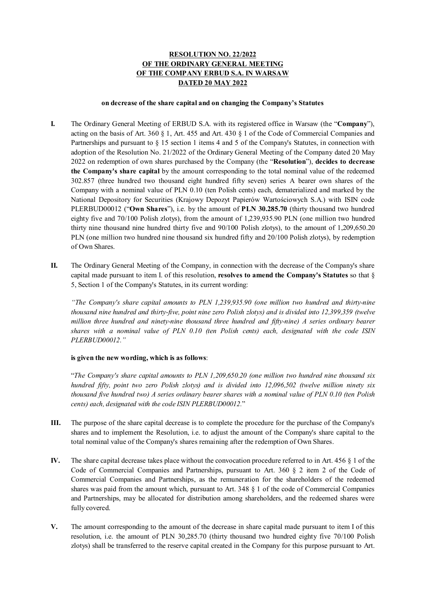# **RESOLUTION NO. 22/2022 OF THE ORDINARY GENERAL MEETING OF THE COMPANY ERBUD S.A. IN WARSAW DATED 20 MAY 2022**

#### **on decrease of the share capital and on changing the Company's Statutes**

- **I.** The Ordinary General Meeting of ERBUD S.A. with its registered office in Warsaw (the "**Company**"), acting on the basis of Art. 360 § 1, Art. 455 and Art. 430 § 1 of the Code of Commercial Companies and Partnerships and pursuant to § 15 section 1 items 4 and 5 of the Company's Statutes, in connection with adoption of the Resolution No. 21/2022 of the Ordinary General Meeting of the Company dated 20 May 2022 on redemption of own shares purchased by the Company (the "**Resolution**"), **decides to decrease the Company's share capital** by the amount corresponding to the total nominal value of the redeemed 302.857 (three hundred two thousand eight hundred fifty seven) series A bearer own shares of the Company with a nominal value of PLN 0.10 (ten Polish cents) each, dematerialized and marked by the National Depository for Securities (Krajowy Depozyt Papierów Wartościowych S.A.) with ISIN code PLERBUD00012 ("**Own Shares**"), i.e. by the amount of **PLN 30.285.70** (thirty thousand two hundred eighty five and 70/100 Polish zlotys), from the amount of 1,239,935.90 PLN (one million two hundred thirty nine thousand nine hundred thirty five and 90/100 Polish zlotys), to the amount of 1,209,650.20 PLN (one million two hundred nine thousand six hundred fifty and 20/100 Polish zlotys), by redemption of Own Shares.
- **II.** The Ordinary General Meeting of the Company, in connection with the decrease of the Company's share capital made pursuant to item I. of this resolution, **resolves to amend the Company's Statutes** so that § 5, Section 1 of the Company's Statutes, in its current wording:

*"The Company's share capital amounts to PLN 1,239,935.90 (one million two hundred and thirty-nine thousand nine hundred and thirty-five, point nine zero Polish zlotys) and is divided into 12,399,359 (twelve million three hundred and ninety-nine thousand three hundred and fifty-nine) A series ordinary bearer shares with a nominal value of PLN 0.10 (ten Polish cents) each, designated with the code ISIN PLERBUD00012."* 

#### **is given the new wording, which is as follows**:

"*The Company's share capital amounts to PLN 1,209,650.20 (one million two hundred nine thousand six hundred fifty, point two zero Polish zlotys) and is divided into 12,096,502 (twelve million ninety six thousand five hundred two) A series ordinary bearer shares with a nominal value of PLN 0.10 (ten Polish cents) each, designated with the code ISIN PLERBUD00012.*"

- **III.** The purpose of the share capital decrease is to complete the procedure for the purchase of the Company's shares and to implement the Resolution, i.e. to adjust the amount of the Company's share capital to the total nominal value of the Company's shares remaining after the redemption of Own Shares.
- **IV.** The share capital decrease takes place without the convocation procedure referred to in Art. 456 § 1 of the Code of Commercial Companies and Partnerships, pursuant to Art. 360 § 2 item 2 of the Code of Commercial Companies and Partnerships, as the remuneration for the shareholders of the redeemed shares was paid from the amount which, pursuant to Art. 348 § 1 of the code of Commercial Companies and Partnerships, may be allocated for distribution among shareholders, and the redeemed shares were fully covered.
- **V.** The amount corresponding to the amount of the decrease in share capital made pursuant to item I of this resolution, i.e. the amount of PLN 30,285.70 (thirty thousand two hundred eighty five 70/100 Polish zlotys) shall be transferred to the reserve capital created in the Company for this purpose pursuant to Art.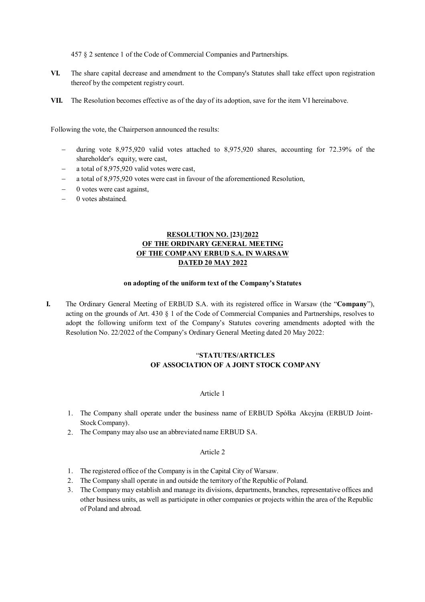457 § 2 sentence 1 of the Code of Commercial Companies and Partnerships.

- **VI.** The share capital decrease and amendment to the Company's Statutes shall take effect upon registration thereof by the competent registry court.
- **VII.** The Resolution becomes effective as of the day of its adoption, save for the item VI hereinabove.

Following the vote, the Chairperson announced the results:

- during vote 8,975,920 valid votes attached to 8,975,920 shares, accounting for 72.39% of the shareholder's equity, were cast,
- a total of 8,975,920 valid votes were cast,
- a total of 8,975,920 votes were cast in favour of the aforementioned Resolution,
- 0 votes were cast against,
- 0 votes abstained*.*

## **RESOLUTION NO. [23]/2022 OF THE ORDINARY GENERAL MEETING OF THE COMPANY ERBUD S.A. IN WARSAW DATED 20 MAY 2022**

#### **on adopting of the uniform text of the Company's Statutes**

**I.** The Ordinary General Meeting of ERBUD S.A. with its registered office in Warsaw (the "**Company**"), acting on the grounds of Art. 430 § 1 of the Code of Commercial Companies and Partnerships, resolves to adopt the following uniform text of the Company's Statutes covering amendments adopted with the Resolution No. 22/2022 of the Company's Ordinary General Meeting dated 20 May 2022:

## "**STATUTES/ARTICLES OF ASSOCIATION OF A JOINT STOCK COMPANY**

#### Article 1

- 1. The Company shall operate under the business name of ERBUD Spółka Akcyjna (ERBUD Joint-Stock Company).
- 2. The Company may also use an abbreviated name ERBUD SA.

- 1. The registered office of the Company is in the Capital City of Warsaw.
- 2. The Company shall operate in and outside the territory of the Republic of Poland.
- 3. The Company may establish and manage its divisions, departments, branches, representative offices and other business units, as well as participate in other companies or projects within the area of the Republic of Poland and abroad.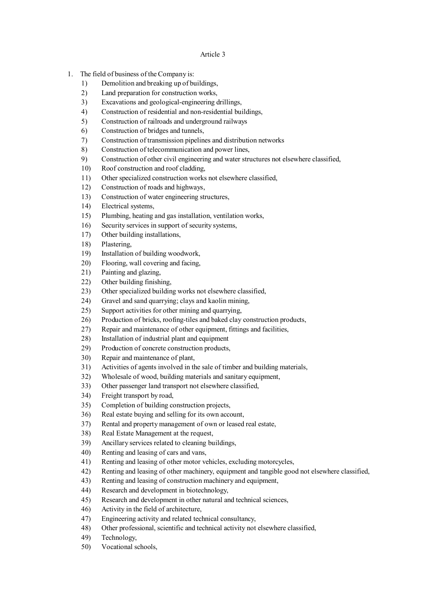- 1. The field of business of the Company is:
	- 1) Demolition and breaking up of buildings,
	- 2) Land preparation for construction works,
	- 3) Excavations and geological-engineering drillings,
	- 4) Construction of residential and non-residential buildings,
	- 5) Construction of railroads and underground railways
	- 6) Construction of bridges and tunnels,
	- 7) Construction of transmission pipelines and distribution networks
	- 8) Construction of telecommunication and power lines,
	- 9) Construction of other civil engineering and water structures not elsewhere classified,
	- 10) Roof construction and roof cladding,
	- 11) Other specialized construction works not elsewhere classified,
	- 12) Construction of roads and highways,
	- 13) Construction of water engineering structures,
	- 14) Electrical systems,
	- 15) Plumbing, heating and gas installation, ventilation works,
	- 16) Security services in support of security systems,
	- 17) Other building installations,
	- 18) Plastering,
	- 19) Installation of building woodwork,
	- 20) Flooring, wall covering and facing,
	- 21) Painting and glazing,
	- 22) Other building finishing,
	- 23) Other specialized building works not elsewhere classified,
	- 24) Gravel and sand quarrying; clays and kaolin mining,
	- 25) Support activities for other mining and quarrying,
	- 26) Production of bricks, roofing-tiles and baked clay construction products,
	- 27) Repair and maintenance of other equipment, fittings and facilities,
	- 28) Installation of industrial plant and equipment
	- 29) Production of concrete construction products,
	- 30) Repair and maintenance of plant,
	- 31) Activities of agents involved in the sale of timber and building materials,
	- 32) Wholesale of wood, building materials and sanitary equipment,
	- 33) Other passenger land transport not elsewhere classified,
	- 34) Freight transport by road,
	- 35) Completion of building construction projects,
	- 36) Real estate buying and selling for its own account,
	- 37) Rental and property management of own or leased real estate,
	- 38) Real Estate Management at the request,
	- 39) Ancillary services related to cleaning buildings,
	- 40) Renting and leasing of cars and vans,
	- 41) Renting and leasing of other motor vehicles, excluding motorcycles,
	- 42) Renting and leasing of other machinery, equipment and tangible good not elsewhere classified,
	- 43) Renting and leasing of construction machinery and equipment,
	- 44) Research and development in biotechnology,
	- 45) Research and development in other natural and technical sciences,
	- 46) Activity in the field of architecture,
	- 47) Engineering activity and related technical consultancy,
	- 48) Other professional, scientific and technical activity not elsewhere classified,
	- 49) Technology,
	- 50) Vocational schools,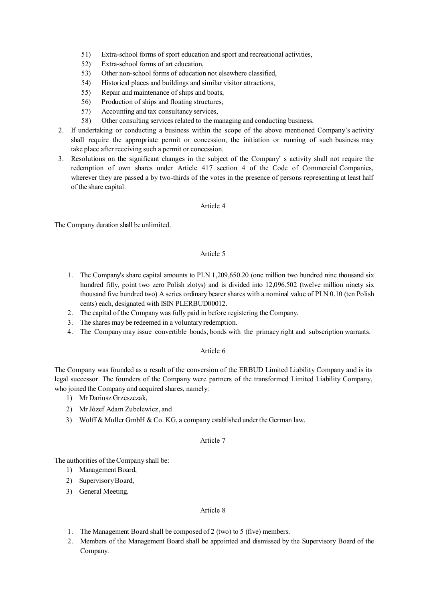- 51) Extra-school forms of sport education and sport and recreational activities,
- 52) Extra-school forms of art education,
- 53) Other non-school forms of education not elsewhere classified,
- 54) Historical places and buildings and similar visitor attractions,
- 55) Repair and maintenance of ships and boats,
- 56) Production of ships and floating structures,
- 57) Accounting and tax consultancy services,
- 58) Other consulting services related to the managing and conducting business.
- 2. If undertaking or conducting a business within the scope of the above mentioned Company's activity shall require the appropriate permit or concession, the initiation or running of such business may take place after receiving such a permit or concession.
- 3. Resolutions on the significant changes in the subject of the Company' s activity shall not require the redemption of own shares under Article 417 section 4 of the Code of Commercial Companies, wherever they are passed a by two-thirds of the votes in the presence of persons representing at least half of the share capital.

#### Article 4

The Company duration shall be unlimited.

### Article 5

- 1. The Company's share capital amounts to PLN 1,209,650.20 (one million two hundred nine thousand six hundred fifty, point two zero Polish zlotys) and is divided into 12,096,502 (twelve million ninety six thousand five hundred two) A series ordinary bearer shares with a nominal value of PLN 0.10 (ten Polish cents) each, designated with ISIN PLERBUD00012.
- 2. The capital of the Company was fully paid in before registering the Company.
- 3. The shares may be redeemed in a voluntary redemption.
- 4. The Company may issue convertible bonds, bonds with the primacy right and subscription warrants.

## Article 6

The Company was founded as a result of the conversion of the ERBUD Limited Liability Company and is its legal successor. The founders of the Company were partners of the transformed Limited Liability Company, who joined the Company and acquired shares, namely:

- 1) Mr Dariusz Grzeszczak,
- 2) Mr Józef Adam Zubelewicz, and
- 3) Wolff & Muller GmbH & Co. KG, a company established under the German law.

### Article 7

The authorities of the Company shall be:

- 1) Management Board,
- 2) Supervisory Board,
- 3) General Meeting.

- 1. The Management Board shall be composed of 2 (two) to 5 (five) members.
- 2. Members of the Management Board shall be appointed and dismissed by the Supervisory Board of the Company.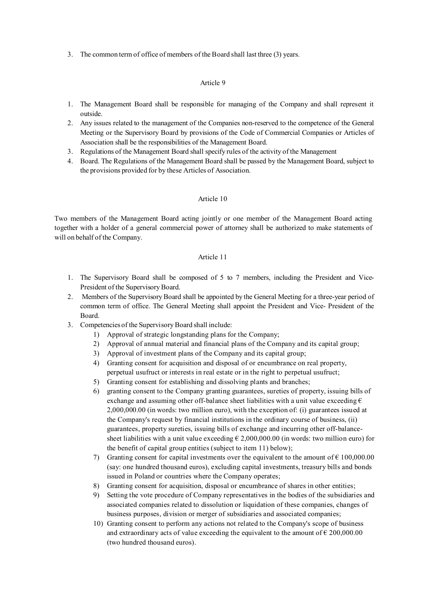3. The common term of office of members of the Board shall last three (3) years.

### Article 9

- 1. The Management Board shall be responsible for managing of the Company and shall represent it outside.
- 2. Any issues related to the management of the Companies non-reserved to the competence of the General Meeting or the Supervisory Board by provisions of the Code of Commercial Companies or Articles of Association shall be the responsibilities of the Management Board.
- 3. Regulations of the Management Board shall specify rules of the activity of the Management
- 4. Board. The Regulations of the Management Board shall be passed by the Management Board, subject to the provisions provided for by these Articles of Association.

### Article 10

Two members of the Management Board acting jointly or one member of the Management Board acting together with a holder of a general commercial power of attorney shall be authorized to make statements of will on behalf of the Company.

- 1. The Supervisory Board shall be composed of 5 to 7 members, including the President and Vice-President of the Supervisory Board.
- 2. Members of the Supervisory Board shall be appointed by the General Meeting for a three-year period of common term of office. The General Meeting shall appoint the President and Vice- President of the Board.
- 3. Competencies of the Supervisory Board shall include:
	- 1) Approval of strategic longstanding plans for the Company;
	- 2) Approval of annual material and financial plans of the Company and its capital group;
	- 3) Approval of investment plans of the Company and its capital group;
	- 4) Granting consent for acquisition and disposal of or encumbrance on real property, perpetual usufruct or interests in real estate or in the right to perpetual usufruct;
	- 5) Granting consent for establishing and dissolving plants and branches;
	- 6) granting consent to the Company granting guarantees, sureties of property, issuing bills of exchange and assuming other off-balance sheet liabilities with a unit value exceeding  $\epsilon$ 2,000,000.00 (in words: two million euro), with the exception of: (i) guarantees issued at the Company's request by financial institutions in the ordinary course of business, (ii) guarantees, property sureties, issuing bills of exchange and incurring other off-balancesheet liabilities with a unit value exceeding  $\epsilon$  2,000,000.00 (in words: two million euro) for the benefit of capital group entities (subject to item 11) below);
	- 7) Granting consent for capital investments over the equivalent to the amount of  $\epsilon$  100,000.00 (say: one hundred thousand euros), excluding capital investments, treasury bills and bonds issued in Poland or countries where the Company operates;
	- 8) Granting consent for acquisition, disposal or encumbrance of shares in other entities;
	- 9) Setting the vote procedure of Company representatives in the bodies of the subsidiaries and associated companies related to dissolution or liquidation of these companies, changes of business purposes, division or merger of subsidiaries and associated companies;
	- 10) Granting consent to perform any actions not related to the Company's scope of business and extraordinary acts of value exceeding the equivalent to the amount of  $\epsilon$  200,000.00 (two hundred thousand euros).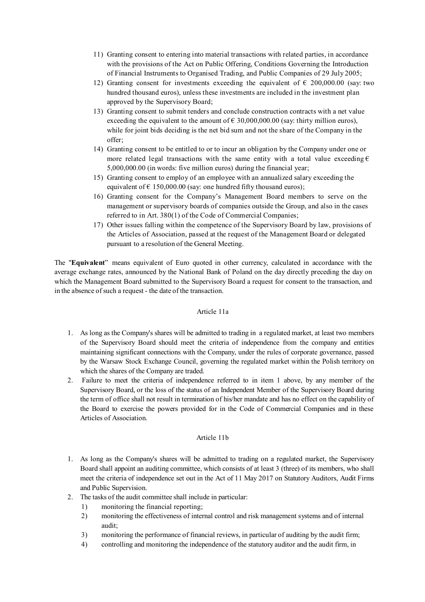- 11) Granting consent to entering into material transactions with related parties, in accordance with the provisions of the Act on Public Offering, Conditions Governing the Introduction of Financial Instruments to Organised Trading, and Public Companies of 29 July 2005;
- 12) Granting consent for investments exceeding the equivalent of  $\epsilon$  200,000.00 (say: two hundred thousand euros), unless these investments are included in the investment plan approved by the Supervisory Board;
- 13) Granting consent to submit tenders and conclude construction contracts with a net value exceeding the equivalent to the amount of  $\epsilon$  30,000,000.00 (say: thirty million euros), while for joint bids deciding is the net bid sum and not the share of the Company in the offer;
- 14) Granting consent to be entitled to or to incur an obligation by the Company under one or more related legal transactions with the same entity with a total value exceeding  $\epsilon$ 5,000,000.00 (in words: five million euros) during the financial year;
- 15) Granting consent to employ of an employee with an annualized salary exceeding the equivalent of  $\epsilon$  150,000.00 (say: one hundred fifty thousand euros);
- 16) Granting consent for the Company's Management Board members to serve on the management or supervisory boards of companies outside the Group, and also in the cases referred to in Art. 380(1) of the Code of Commercial Companies;
- 17) Other issues falling within the competence of the Supervisory Board by law, provisions of the Articles of Association, passed at the request of the Management Board or delegated pursuant to a resolution of the General Meeting.

The "**Equivalent**" means equivalent of Euro quoted in other currency, calculated in accordance with the average exchange rates, announced by the National Bank of Poland on the day directly preceding the day on which the Management Board submitted to the Supervisory Board a request for consent to the transaction, and in the absence of such a request - the date of the transaction.

#### Article 11a

- 1. As long as the Company's shares will be admitted to trading in a regulated market, at least two members of the Supervisory Board should meet the criteria of independence from the company and entities maintaining significant connections with the Company, under the rules of corporate governance, passed by the Warsaw Stock Exchange Council, governing the regulated market within the Polish territory on which the shares of the Company are traded.
- 2. Failure to meet the criteria of independence referred to in item 1 above, by any member of the Supervisory Board, or the loss of the status of an Independent Member of the Supervisory Board during the term of office shall not result in termination of his/her mandate and has no effect on the capability of the Board to exercise the powers provided for in the Code of Commercial Companies and in these Articles of Association.

#### Article 11b

- 1. As long as the Company's shares will be admitted to trading on a regulated market, the Supervisory Board shall appoint an auditing committee, which consists of at least 3 (three) of its members, who shall meet the criteria of independence set out in the Act of 11 May 2017 on Statutory Auditors, Audit Firms and Public Supervision.
- 2. The tasks of the audit committee shall include in particular:
	- 1) monitoring the financial reporting;
	- 2) monitoring the effectiveness of internal control and risk management systems and of internal audit;
	- 3) monitoring the performance of financial reviews, in particular of auditing by the audit firm;
	- 4) controlling and monitoring the independence of the statutory auditor and the audit firm, in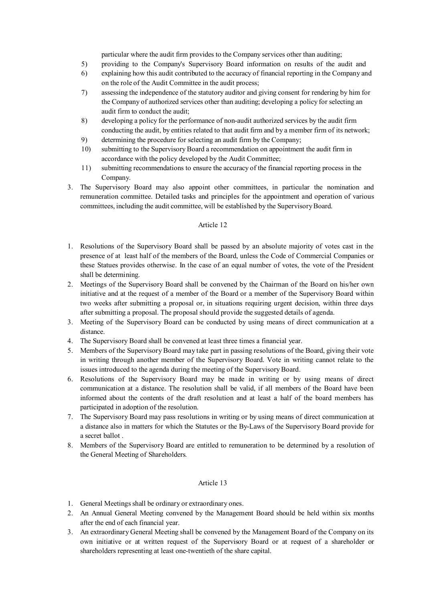particular where the audit firm provides to the Company services other than auditing;

- 5) providing to the Company's Supervisory Board information on results of the audit and
- 6) explaining how this audit contributed to the accuracy of financial reporting in the Company and on the role of the Audit Committee in the audit process;
- 7) assessing the independence of the statutory auditor and giving consent for rendering by him for the Company of authorized services other than auditing; developing a policy for selecting an audit firm to conduct the audit;
- 8) developing a policy for the performance of non-audit authorized services by the audit firm conducting the audit, by entities related to that audit firm and by a member firm of its network;
- 9) determining the procedure for selecting an audit firm by the Company;
- 10) submitting to the Supervisory Board a recommendation on appointment the audit firm in accordance with the policy developed by the Audit Committee;
- 11) submitting recommendations to ensure the accuracy of the financial reporting process in the Company.
- 3. The Supervisory Board may also appoint other committees, in particular the nomination and remuneration committee. Detailed tasks and principles for the appointment and operation of various committees, including the audit committee, will be established by the Supervisory Board.

#### Article 12

- 1. Resolutions of the Supervisory Board shall be passed by an absolute majority of votes cast in the presence of at least half of the members of the Board, unless the Code of Commercial Companies or these Statues provides otherwise. In the case of an equal number of votes, the vote of the President shall be determining.
- 2. Meetings of the Supervisory Board shall be convened by the Chairman of the Board on his/her own initiative and at the request of a member of the Board or a member of the Supervisory Board within two weeks after submitting a proposal or, in situations requiring urgent decision, within three days after submitting a proposal. The proposal should provide the suggested details of agenda.
- 3. Meeting of the Supervisory Board can be conducted by using means of direct communication at a distance.
- 4. The Supervisory Board shall be convened at least three times a financial year.
- 5. Members of the Supervisory Board may take part in passing resolutions of the Board, giving their vote in writing through another member of the Supervisory Board. Vote in writing cannot relate to the issues introduced to the agenda during the meeting of the Supervisory Board.
- 6. Resolutions of the Supervisory Board may be made in writing or by using means of direct communication at a distance. The resolution shall be valid, if all members of the Board have been informed about the contents of the draft resolution and at least a half of the board members has participated in adoption of the resolution.
- 7. The Supervisory Board may pass resolutions in writing or by using means of direct communication at a distance also in matters for which the Statutes or the By-Laws of the Supervisory Board provide for a secret hallot
- 8. Members of the Supervisory Board are entitled to remuneration to be determined by a resolution of the General Meeting of Shareholders*.*

- 1. General Meetings shall be ordinary or extraordinary ones.
- 2. An Annual General Meeting convened by the Management Board should be held within six months after the end of each financial year.
- 3. An extraordinary General Meeting shall be convened by the Management Board of the Company on its own initiative or at written request of the Supervisory Board or at request of a shareholder or shareholders representing at least one-twentieth of the share capital.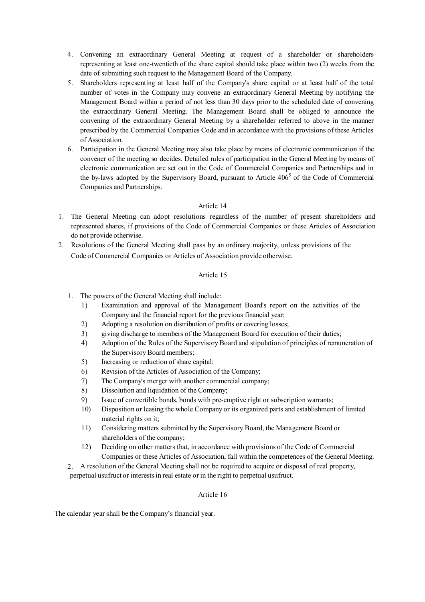- 4. Convening an extraordinary General Meeting at request of a shareholder or shareholders representing at least one-twentieth of the share capital should take place within two (2) weeks from the date of submitting such request to the Management Board of the Company.
- 5. Shareholders representing at least half of the Company's share capital or at least half of the total number of votes in the Company may convene an extraordinary General Meeting by notifying the Management Board within a period of not less than 30 days prior to the scheduled date of convening the extraordinary General Meeting. The Management Board shall be obliged to announce the convening of the extraordinary General Meeting by a shareholder referred to above in the manner prescribed by the Commercial Companies Code and in accordance with the provisions of these Articles of Association.
- 6. Participation in the General Meeting may also take place by means of electronic communication if the convener of the meeting so decides. Detailed rules of participation in the General Meeting by means of electronic communication are set out in the Code of Commercial Companies and Partnerships and in the by-laws adopted by the Supervisory Board, pursuant to Article 406<sup>5</sup> of the Code of Commercial Companies and Partnerships.

### Article 14

- 1. The General Meeting can adopt resolutions regardless of the number of present shareholders and represented shares, if provisions of the Code of Commercial Companies or these Articles of Association do not provide otherwise.
- 2. Resolutions of the General Meeting shall pass by an ordinary majority, unless provisions of the Code of Commercial Companies or Articles of Association provide otherwise.

#### Article 15

- 1. The powers of the General Meeting shall include:
	- 1) Examination and approval of the Management Board's report on the activities of the Company and the financial report for the previous financial year;
	- 2) Adopting a resolution on distribution of profits or covering losses;
	- 3) giving discharge to members of the Management Board for execution of their duties;
	- 4) Adoption of the Rules of the Supervisory Board and stipulation of principles of remuneration of the Supervisory Board members;
	- 5) Increasing or reduction of share capital;
	- 6) Revision of the Articles of Association of the Company;
	- 7) The Company's merger with another commercial company;
	- 8) Dissolution and liquidation of the Company;
	- 9) Issue of convertible bonds, bonds with pre-emptive right or subscription warrants;
	- 10) Disposition or leasing the whole Company or its organized parts and establishment of limited material rights on it;
	- 11) Considering matters submitted by the Supervisory Board, the Management Board or shareholders of the company;
	- 12) Deciding on other matters that, in accordance with provisions of the Code of Commercial Companies or these Articles of Association, fall within the competences of the General Meeting.
- 2. A resolution of the General Meeting shall not be required to acquire or disposal of real property, perpetual usufruct or interests in real estate or in the right to perpetual usufruct.

#### Article 16

The calendar year shall be the Company's financial year.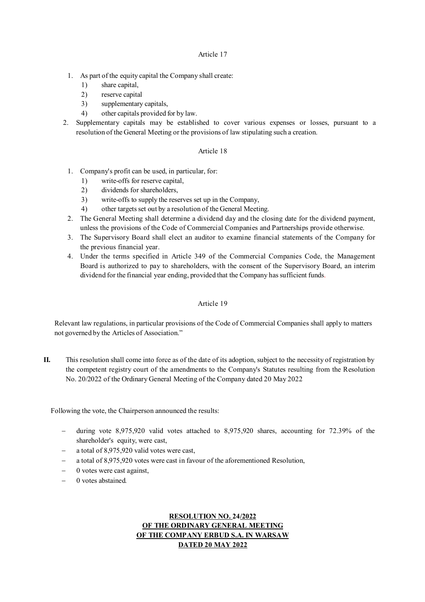#### Article 17

- 1. As part of the equity capital the Company shall create:
	- 1) share capital,
	- 2) reserve capital
	- 3) supplementary capitals,
	- 4) other capitals provided for by law.
- 2. Supplementary capitals may be established to cover various expenses or losses, pursuant to a resolution of the General Meeting or the provisions of law stipulating such a creation.

#### Article 18

- 1. Company's profit can be used, in particular, for:
	- 1) write-offs for reserve capital,
	- 2) dividends for shareholders,
	- 3) write-offs to supply the reserves set up in the Company,
	- 4) other targets set out by a resolution of the General Meeting.
- 2. The General Meeting shall determine a dividend day and the closing date for the dividend payment, unless the provisions of the Code of Commercial Companies and Partnerships provide otherwise.
- 3. The Supervisory Board shall elect an auditor to examine financial statements of the Company for the previous financial year.
- 4. Under the terms specified in Article 349 of the Commercial Companies Code, the Management Board is authorized to pay to shareholders, with the consent of the Supervisory Board, an interim dividend for the financial year ending, provided that the Company has sufficient funds.

### Article 19

Relevant law regulations, in particular provisions of the Code of Commercial Companies shall apply to matters not governed by the Articles of Association."

**II.** This resolution shall come into force as of the date of its adoption, subject to the necessity of registration by the competent registry court of the amendments to the Company's Statutes resulting from the Resolution No. 20/2022 of the Ordinary General Meeting of the Company dated 20 May 2022

Following the vote, the Chairperson announced the results:

- during vote 8,975,920 valid votes attached to 8,975,920 shares, accounting for 72.39% of the shareholder's equity, were cast,
- a total of 8,975,920 valid votes were cast,
- a total of 8,975,920 votes were cast in favour of the aforementioned Resolution,
- 0 votes were cast against,
- 0 votes abstained*.*

## **RESOLUTION NO. 24/2022 OF THE ORDINARY GENERAL MEETING OF THE COMPANY ERBUD S.A. IN WARSAW DATED 20 MAY 2022**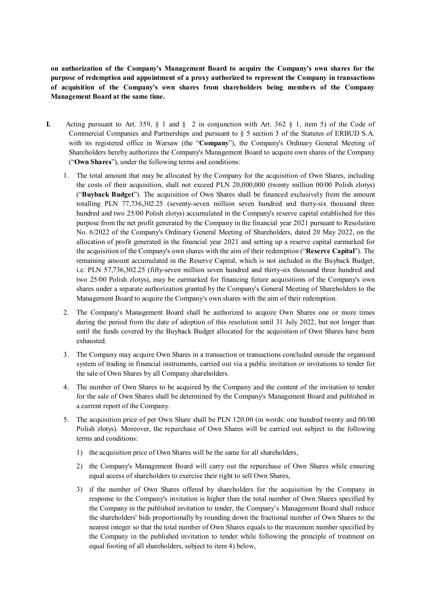**on authorization of the Company's Management Board to acquire the Company's own shares for the purpose of redemption and appointment of a proxy authorized to represent the Company in transactions of acquisition of the Company's own shares from shareholders being members of the Company Management Board at the same time.** 

- **I.** Acting pursuant to Art. 359, § 1 and § 2 in conjunction with Art. 362 § 1, item 5) of the Code of Commercial Companies and Partnerships and pursuant to § 5 section 3 of the Statutes of ERBUD S.A. with its registered office in Warsaw (the "**Company**"), the Company's Ordinary General Meeting of Shareholders hereby authorizes the Company's Management Board to acquire own shares of the Company ("**Own Shares**"), under the following terms and conditions:
	- 1. The total amount that may be allocated by the Company for the acquisition of Own Shares, including the costs of their acquisition, shall not exceed PLN 20,000,000 (twenty million 00/00 Polish zlotys) ("**Buyback Budget**"). The acquisition of Own Shares shall be financed exclusively from the amount totalling PLN 77,736,302.25 (seventy-seven million seven hundred and thirty-six thousand three hundred and two 25/00 Polish zlotys) accumulated in the Company's reserve capital established for this purpose from the net profit generated by the Company in the financial year 2021 pursuant to Resolution No. 6/2022 of the Company's Ordinary General Meeting of Shareholders, dated 20 May 2022, on the allocation of profit generated in the financial year 2021 and setting up a reserve capital earmarked for the acquisition of the Company's own shares with the aim of their redemption ("**Reserve Capital**"). The remaining amount accumulated in the Reserve Capital, which is not included in the Buyback Budget, i.e. PLN 57,736,302.25 (fifty-seven million seven hundred and thirty-six thousand three hundred and two 25/00 Polish zlotys), may be earmarked for financing future acquisitions of the Company's own shares under a separate authorization granted by the Company's General Meeting of Shareholders to the Management Board to acquire the Company's own shares with the aim of their redemption.
	- 2. The Company's Management Board shall be authorized to acquire Own Shares one or more times during the period from the date of adoption of this resolution until 31 July 2022, but not longer than until the funds covered by the Buyback Budget allocated for the acquisition of Own Shares have been exhausted.
	- 3. The Company may acquire Own Shares in a transaction or transactions concluded outside the organised system of trading in financial instruments, carried out via a public invitation or invitations to tender for the sale of Own Shares by all Company shareholders.
	- 4. The number of Own Shares to be acquired by the Company and the content of the invitation to tender for the sale of Own Shares shall be determined by the Company's Management Board and published in a current report of the Company.
	- 5. The acquisition price of per Own Share shall be PLN 120.00 (in words: one hundred twenty and 00/00 Polish zlotys). Moreover, the repurchase of Own Shares will be carried out subject to the following terms and conditions:
		- 1) the acquisition price of Own Shares will be the same for all shareholders,
		- 2) the Company's Management Board will carry out the repurchase of Own Shares while ensuring equal access of shareholders to exercise their right to sell Own Shares,
		- 3) if the number of Own Shares offered by shareholders for the acquisition by the Company in response to the Company's invitation is higher than the total number of Own Shares specified by the Company in the published invitation to tender, the Company's Management Board shall reduce the shareholders' bids proportionally by rounding down the fractional number of Own Shares to the nearest integer so that the total number of Own Shares equals to the maximum number specified by the Company in the published invitation to tender while following the principle of treatment on equal footing of all shareholders, subject to item 4) below,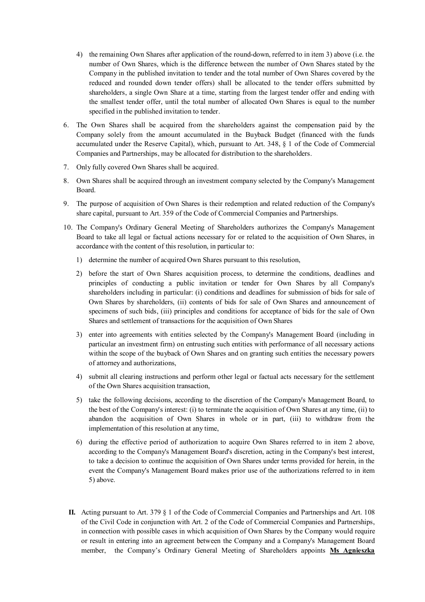- 4) the remaining Own Shares after application of the round-down, referred to in item 3) above (i.e. the number of Own Shares, which is the difference between the number of Own Shares stated by the Company in the published invitation to tender and the total number of Own Shares covered by the reduced and rounded down tender offers) shall be allocated to the tender offers submitted by shareholders, a single Own Share at a time, starting from the largest tender offer and ending with the smallest tender offer, until the total number of allocated Own Shares is equal to the number specified in the published invitation to tender.
- 6. The Own Shares shall be acquired from the shareholders against the compensation paid by the Company solely from the amount accumulated in the Buyback Budget (financed with the funds accumulated under the Reserve Capital), which, pursuant to Art. 348, § 1 of the Code of Commercial Companies and Partnerships, may be allocated for distribution to the shareholders.
- 7. Only fully covered Own Shares shall be acquired.
- 8. Own Shares shall be acquired through an investment company selected by the Company's Management Board.
- 9. The purpose of acquisition of Own Shares is their redemption and related reduction of the Company's share capital, pursuant to Art. 359 of the Code of Commercial Companies and Partnerships.
- 10. The Company's Ordinary General Meeting of Shareholders authorizes the Company's Management Board to take all legal or factual actions necessary for or related to the acquisition of Own Shares, in accordance with the content of this resolution, in particular to:
	- 1) determine the number of acquired Own Shares pursuant to this resolution,
	- 2) before the start of Own Shares acquisition process, to determine the conditions, deadlines and principles of conducting a public invitation or tender for Own Shares by all Company's shareholders including in particular: (i) conditions and deadlines for submission of bids for sale of Own Shares by shareholders, (ii) contents of bids for sale of Own Shares and announcement of specimens of such bids, (iii) principles and conditions for acceptance of bids for the sale of Own Shares and settlement of transactions for the acquisition of Own Shares
	- 3) enter into agreements with entities selected by the Company's Management Board (including in particular an investment firm) on entrusting such entities with performance of all necessary actions within the scope of the buyback of Own Shares and on granting such entities the necessary powers of attorney and authorizations,
	- 4) submit all clearing instructions and perform other legal or factual acts necessary for the settlement of the Own Shares acquisition transaction,
	- 5) take the following decisions, according to the discretion of the Company's Management Board, to the best of the Company's interest: (i) to terminate the acquisition of Own Shares at any time, (ii) to abandon the acquisition of Own Shares in whole or in part, (iii) to withdraw from the implementation of this resolution at any time,
	- 6) during the effective period of authorization to acquire Own Shares referred to in item 2 above, according to the Company's Management Board's discretion, acting in the Company's best interest, to take a decision to continue the acquisition of Own Shares under terms provided for herein, in the event the Company's Management Board makes prior use of the authorizations referred to in item 5) above.
	- **II.** Acting pursuant to Art. 379 § 1 of the Code of Commercial Companies and Partnerships and Art. 108 of the Civil Code in conjunction with Art. 2 of the Code of Commercial Companies and Partnerships, in connection with possible cases in which acquisition of Own Shares by the Company would require or result in entering into an agreement between the Company and a Company's Management Board member, the Company's Ordinary General Meeting of Shareholders appoints **Ms Agnieszka**